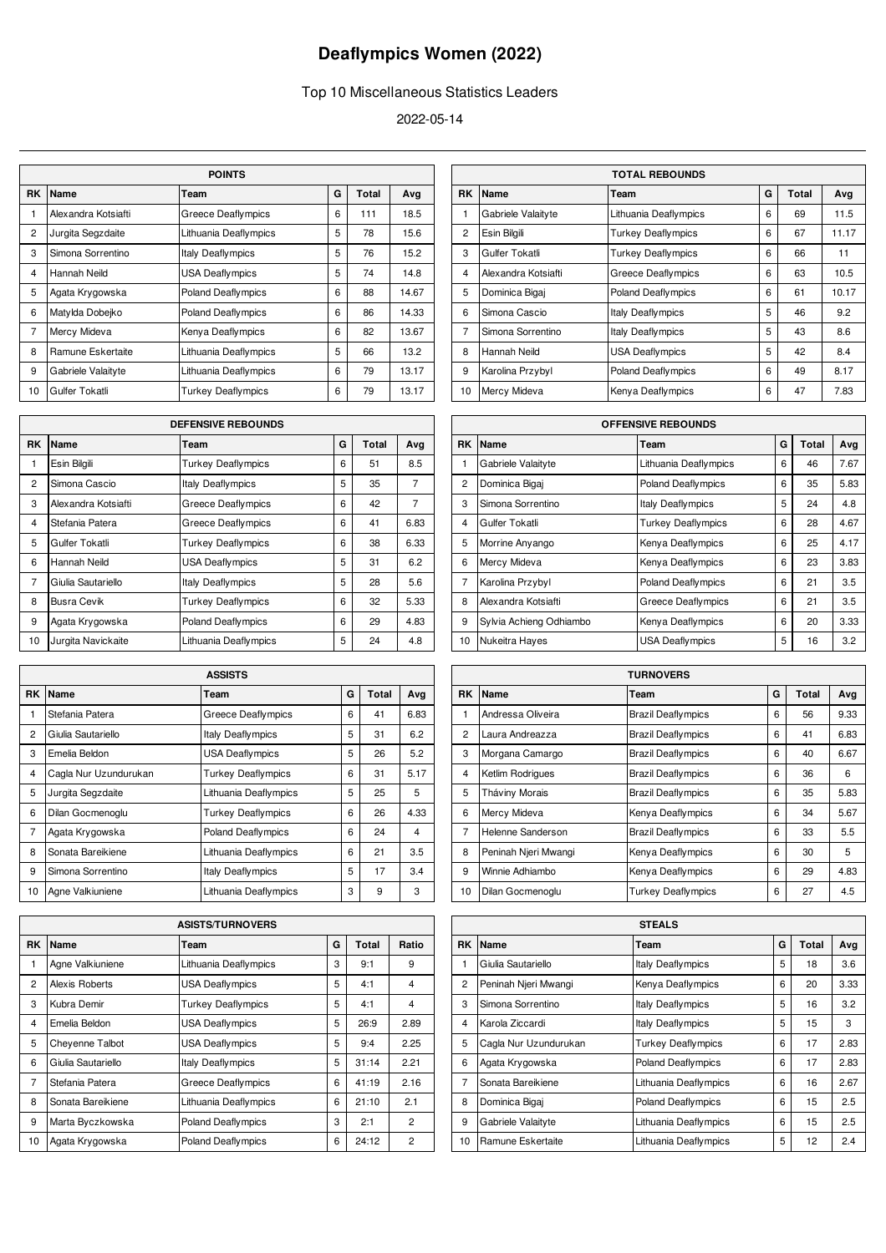## **Deaflympics Women (2022)**

## Top 10 Miscellaneous Statistics Leaders

2022-05-14

| <b>POINTS</b>  |                     |                           |   |     |       |  |  |
|----------------|---------------------|---------------------------|---|-----|-------|--|--|
| RK             | Total               | Ava                       |   |     |       |  |  |
| 1              | Alexandra Kotsiafti | <b>Greece Deaflympics</b> | 6 | 111 | 18.5  |  |  |
| $\overline{2}$ | Jurgita Segzdaite   | Lithuania Deaflympics     | 5 | 78  | 15.6  |  |  |
| 3              | Simona Sorrentino   | <b>Italy Deaflympics</b>  | 5 | 76  | 15.2  |  |  |
| 4              | Hannah Neild        | <b>USA Deaflympics</b>    | 5 | 74  | 14.8  |  |  |
| 5              | Agata Krygowska     | <b>Poland Deaflympics</b> | 6 | 88  | 14.67 |  |  |
| 6              | Matylda Dobejko     | <b>Poland Deaflympics</b> | 6 | 86  | 14.33 |  |  |
| $\overline{7}$ | Mercy Mideva        | Kenya Deaflympics         | 6 | 82  | 13.67 |  |  |
| 8              | Ramune Eskertaite   | Lithuania Deaflympics     | 5 | 66  | 13.2  |  |  |
| 9              | Gabriele Valaityte  | Lithuania Deaflympics     | 6 | 79  | 13.17 |  |  |
| 10             | Gulfer Tokatli      | <b>Turkey Deaflympics</b> | 6 | 79  | 13.17 |  |  |

| <b>DEFENSIVE REBOUNDS</b>                             |                     |                           |   |    |                |  |  |
|-------------------------------------------------------|---------------------|---------------------------|---|----|----------------|--|--|
| <b>RK</b><br>G<br><b>Name</b><br>Ava<br>Total<br>Team |                     |                           |   |    |                |  |  |
| 1                                                     | Esin Bilgili        | <b>Turkey Deaflympics</b> | 6 | 51 | 8.5            |  |  |
| $\overline{2}$                                        | Simona Cascio       | <b>Italy Deaflympics</b>  | 5 | 35 | $\overline{7}$ |  |  |
| 3                                                     | Alexandra Kotsiafti | <b>Greece Deaflympics</b> | 6 | 42 | $\overline{7}$ |  |  |
| $\overline{\mathbf{4}}$                               | Stefania Patera     | <b>Greece Deaflympics</b> | 6 | 41 | 6.83           |  |  |
| 5                                                     | Gulfer Tokatli      | <b>Turkey Deaflympics</b> | 6 | 38 | 6.33           |  |  |
| 6                                                     | Hannah Neild        | <b>USA Deaflympics</b>    | 5 | 31 | 6.2            |  |  |
| 7                                                     | Giulia Sautariello  | <b>Italy Deaflympics</b>  | 5 | 28 | 5.6            |  |  |
| 8                                                     | <b>Busra Cevik</b>  | <b>Turkey Deaflympics</b> | 6 | 32 | 5.33           |  |  |
| 9                                                     | Agata Krygowska     | <b>Poland Deaflympics</b> | 6 | 29 | 4.83           |  |  |
| 10                                                    | Jurgita Navickaite  | Lithuania Deaflympics     | 5 | 24 | 4.8            |  |  |

| <b>ASSISTS</b> |                       |                           |   |       |      |  |
|----------------|-----------------------|---------------------------|---|-------|------|--|
| <b>RK</b>      | Name                  | Team                      | G | Total | Ava  |  |
| 1              | Stefania Patera       | <b>Greece Deaflympics</b> | 6 | 41    | 6.83 |  |
| $\overline{2}$ | Giulia Sautariello    | Italy Deaflympics         | 5 | 31    | 6.2  |  |
| 3              | Emelia Beldon         | <b>USA Deaflympics</b>    | 5 | 26    | 5.2  |  |
| $\overline{4}$ | Cagla Nur Uzundurukan | <b>Turkey Deaflympics</b> | 6 | 31    | 5.17 |  |
| 5              | Jurgita Segzdaite     | Lithuania Deaflympics     | 5 | 25    | 5    |  |
| 6              | Dilan Gocmenoglu      | <b>Turkey Deaflympics</b> | 6 | 26    | 4.33 |  |
| $\overline{7}$ | Agata Krygowska       | <b>Poland Deaflympics</b> | 6 | 24    | 4    |  |
| 8              | Sonata Bareikiene     | Lithuania Deaflympics     | 6 | 21    | 3.5  |  |
| 9              | Simona Sorrentino     | <b>Italy Deaflympics</b>  | 5 | 17    | 3.4  |  |
| 10             | Agne Valkiuniene      | Lithuania Deaflympics     | 3 | 9     | 3    |  |

| <b>ASISTS/TURNOVERS</b> |                    |                           |   |       |                |  |  |
|-------------------------|--------------------|---------------------------|---|-------|----------------|--|--|
| RK                      | Name               | Team                      | G | Total | Ratio          |  |  |
| 1                       | Agne Valkiuniene   | Lithuania Deaflympics     | 3 | 9:1   | 9              |  |  |
| $\overline{2}$          | Alexis Roberts     | <b>USA Deaflympics</b>    | 5 | 4:1   | 4              |  |  |
| 3                       | Kubra Demir        | <b>Turkey Deaflympics</b> | 5 | 4:1   | 4              |  |  |
| $\overline{\mathbf{4}}$ | Emelia Beldon      | <b>USA Deaflympics</b>    | 5 | 26:9  | 2.89           |  |  |
| 5                       | Chevenne Talbot    | <b>USA Deaflympics</b>    | 5 | 9:4   | 2.25           |  |  |
| 6                       | Giulia Sautariello | <b>Italy Deaflympics</b>  | 5 | 31:14 | 2.21           |  |  |
| $\overline{7}$          | Stefania Patera    | <b>Greece Deaflympics</b> | 6 | 41:19 | 2.16           |  |  |
| 8                       | Sonata Bareikiene  | Lithuania Deaflympics     | 6 | 21:10 | 2.1            |  |  |
| 9                       | Marta Byczkowska   | <b>Poland Deaflympics</b> | 3 | 2:1   | $\overline{2}$ |  |  |
| 10                      | Agata Krygowska    | <b>Poland Deaflympics</b> | 6 | 24:12 | $\overline{2}$ |  |  |

|                | <b>TOTAL REBOUNDS</b> |                           |   |       |       |  |  |
|----------------|-----------------------|---------------------------|---|-------|-------|--|--|
| RK             | <b>Name</b>           | Team                      | G | Total | Avg   |  |  |
| 1              | Gabriele Valaityte    | Lithuania Deaflympics     | 6 | 69    | 11.5  |  |  |
| $\overline{2}$ | Esin Bilgili          | <b>Turkey Deaflympics</b> | 6 | 67    | 11.17 |  |  |
| 3              | Gulfer Tokatli        | <b>Turkey Deaflympics</b> | 6 | 66    | 11    |  |  |
| 4              | Alexandra Kotsiafti   | <b>Greece Deaflympics</b> | 6 | 63    | 10.5  |  |  |
| 5              | Dominica Bigaj        | <b>Poland Deaflympics</b> | 6 | 61    | 10.17 |  |  |
| 6              | Simona Cascio         | <b>Italy Deaflympics</b>  | 5 | 46    | 9.2   |  |  |
| 7              | Simona Sorrentino     | Italy Deaflympics         | 5 | 43    | 8.6   |  |  |
| 8              | Hannah Neild          | <b>USA Deaflympics</b>    | 5 | 42    | 8.4   |  |  |
| 9              | Karolina Przybyl      | <b>Poland Deaflympics</b> | 6 | 49    | 8.17  |  |  |
| 10             | Mercy Mideva          | Kenya Deaflympics         | 6 | 47    | 7.83  |  |  |

|                | <b>OFFENSIVE REBOUNDS</b> |                           |   |       |      |  |  |
|----------------|---------------------------|---------------------------|---|-------|------|--|--|
| <b>RK</b>      | Name                      | Team                      | G | Total | Avg  |  |  |
| 1              | Gabriele Valaityte        | Lithuania Deaflympics     | 6 | 46    | 7.67 |  |  |
| $\overline{2}$ | Dominica Bigaj            | <b>Poland Deaflympics</b> | 6 | 35    | 5.83 |  |  |
| 3              | Simona Sorrentino         | <b>Italy Deaflympics</b>  | 5 | 24    | 4.8  |  |  |
| 4              | Gulfer Tokatli            | <b>Turkey Deaflympics</b> | 6 | 28    | 4.67 |  |  |
| 5              | Morrine Anyango           | Kenya Deaflympics         | 6 | 25    | 4.17 |  |  |
| 6              | Mercy Mideva              | Kenya Deaflympics         | 6 | 23    | 3.83 |  |  |
| $\overline{7}$ | Karolina Przybyl          | <b>Poland Deaflympics</b> | 6 | 21    | 3.5  |  |  |
| 8              | Alexandra Kotsiafti       | <b>Greece Deaflympics</b> | 6 | 21    | 3.5  |  |  |
| 9              | Sylvia Achieng Odhiambo   | Kenya Deaflympics         | 6 | 20    | 3.33 |  |  |
| 10             | Nukeitra Hayes            | <b>USA Deaflympics</b>    | 5 | 16    | 3.2  |  |  |

| <b>TURNOVERS</b> |                      |                           |   |       |      |  |
|------------------|----------------------|---------------------------|---|-------|------|--|
| <b>RK</b>        | Name                 | Team                      | G | Total | Avg  |  |
| 1                | Andressa Oliveira    | <b>Brazil Deaflympics</b> | 6 | 56    | 9.33 |  |
| $\overline{2}$   | Laura Andreazza      | <b>Brazil Deaflympics</b> | 6 | 41    | 6.83 |  |
| 3                | Morgana Camargo      | <b>Brazil Deaflympics</b> | 6 | 40    | 6.67 |  |
| 4                | Ketlim Rodrigues     | <b>Brazil Deaflympics</b> | 6 | 36    | 6    |  |
| 5                | Tháviny Morais       | <b>Brazil Deaflympics</b> | 6 | 35    | 5.83 |  |
| 6                | Mercy Mideva         | Kenya Deaflympics         | 6 | 34    | 5.67 |  |
| $\overline{7}$   | Helenne Sanderson    | <b>Brazil Deaflympics</b> | 6 | 33    | 5.5  |  |
| 8                | Peninah Njeri Mwangi | Kenya Deaflympics         | 6 | 30    | 5    |  |
| 9                | Winnie Adhiambo      | Kenya Deaflympics         | 6 | 29    | 4.83 |  |
| 10               | Dilan Gocmenoglu     | <b>Turkey Deaflympics</b> | 6 | 27    | 4.5  |  |

|                | <b>STEALS</b>         |                           |   |       |      |  |  |
|----------------|-----------------------|---------------------------|---|-------|------|--|--|
| RK             | Name                  | Team                      | G | Total | Ava  |  |  |
| 1              | Giulia Sautariello    | <b>Italy Deaflympics</b>  | 5 | 18    | 3.6  |  |  |
| $\overline{c}$ | Peninah Njeri Mwangi  | Kenya Deaflympics         | 6 | 20    | 3.33 |  |  |
| 3              | Simona Sorrentino     | <b>Italy Deaflympics</b>  | 5 | 16    | 3.2  |  |  |
| $\overline{4}$ | Karola Ziccardi       | <b>Italy Deaflympics</b>  | 5 | 15    | 3    |  |  |
| 5              | Cagla Nur Uzundurukan | <b>Turkey Deaflympics</b> | 6 | 17    | 2.83 |  |  |
| 6              | Agata Krygowska       | <b>Poland Deaflympics</b> | 6 | 17    | 2.83 |  |  |
| $\overline{7}$ | Sonata Bareikiene     | Lithuania Deaflympics     | 6 | 16    | 2.67 |  |  |
| 8              | Dominica Bigai        | <b>Poland Deaflympics</b> | 6 | 15    | 2.5  |  |  |
| 9              | Gabriele Valaityte    | Lithuania Deaflympics     | 6 | 15    | 2.5  |  |  |
| 10             | Ramune Eskertaite     | Lithuania Deaflympics     | 5 | 12    | 2.4  |  |  |